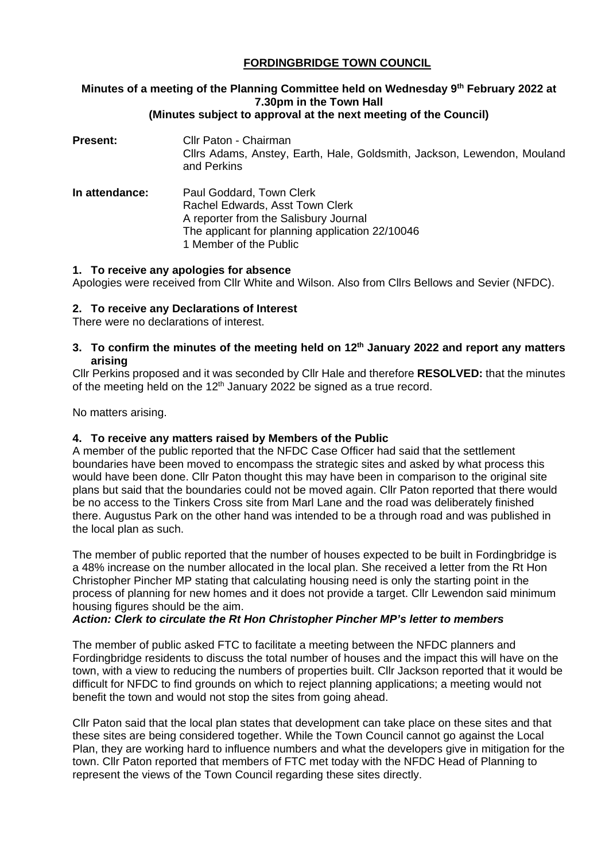## **FORDINGBRIDGE TOWN COUNCIL**

# **Minutes of a meeting of the Planning Committee held on Wednesday 9th February 2022 at 7.30pm in the Town Hall**

## **(Minutes subject to approval at the next meeting of the Council)**

| <b>Present:</b> | Cllr Paton - Chairman<br>Cllrs Adams, Anstey, Earth, Hale, Goldsmith, Jackson, Lewendon, Mouland<br>and Perkins                                                                   |
|-----------------|-----------------------------------------------------------------------------------------------------------------------------------------------------------------------------------|
| In attendance:  | Paul Goddard, Town Clerk<br>Rachel Edwards, Asst Town Clerk<br>A reporter from the Salisbury Journal<br>The applicant for planning application 22/10046<br>1 Member of the Public |

### **1. To receive any apologies for absence**

Apologies were received from Cllr White and Wilson. Also from Cllrs Bellows and Sevier (NFDC).

## **2. To receive any Declarations of Interest**

There were no declarations of interest.

## **3. To confirm the minutes of the meeting held on 12th January 2022 and report any matters arising**

Cllr Perkins proposed and it was seconded by Cllr Hale and therefore **RESOLVED:** that the minutes of the meeting held on the  $12<sup>th</sup>$  January 2022 be signed as a true record.

No matters arising.

## **4. To receive any matters raised by Members of the Public**

A member of the public reported that the NFDC Case Officer had said that the settlement boundaries have been moved to encompass the strategic sites and asked by what process this would have been done. Cllr Paton thought this may have been in comparison to the original site plans but said that the boundaries could not be moved again. Cllr Paton reported that there would be no access to the Tinkers Cross site from Marl Lane and the road was deliberately finished there. Augustus Park on the other hand was intended to be a through road and was published in the local plan as such.

The member of public reported that the number of houses expected to be built in Fordingbridge is a 48% increase on the number allocated in the local plan. She received a letter from the Rt Hon Christopher Pincher MP stating that calculating housing need is only the starting point in the process of planning for new homes and it does not provide a target. Cllr Lewendon said minimum housing figures should be the aim.

## *Action: Clerk to circulate the Rt Hon Christopher Pincher MP's letter to members*

The member of public asked FTC to facilitate a meeting between the NFDC planners and Fordingbridge residents to discuss the total number of houses and the impact this will have on the town, with a view to reducing the numbers of properties built. Cllr Jackson reported that it would be difficult for NFDC to find grounds on which to reject planning applications; a meeting would not benefit the town and would not stop the sites from going ahead.

Cllr Paton said that the local plan states that development can take place on these sites and that these sites are being considered together. While the Town Council cannot go against the Local Plan, they are working hard to influence numbers and what the developers give in mitigation for the town. Cllr Paton reported that members of FTC met today with the NFDC Head of Planning to represent the views of the Town Council regarding these sites directly.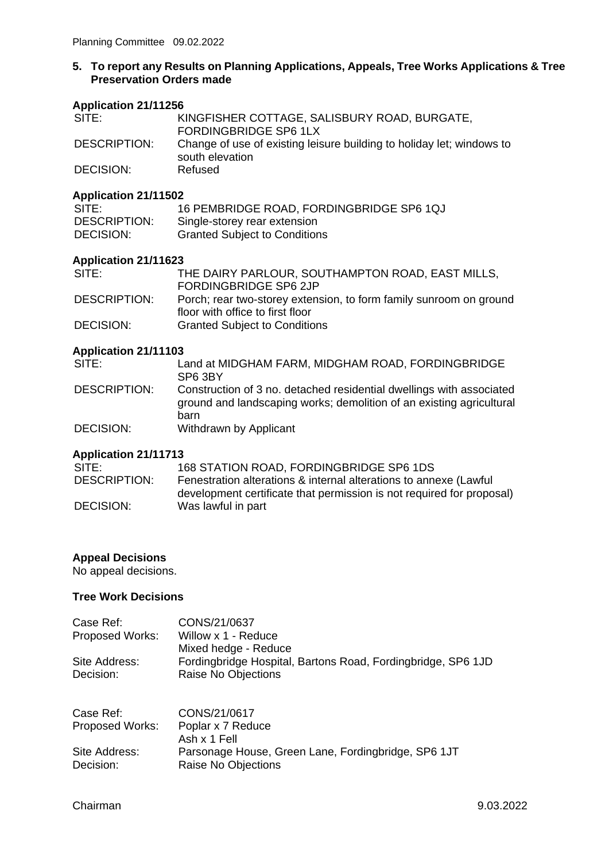## **5. To report any Results on Planning Applications, Appeals, Tree Works Applications & Tree Preservation Orders made**

### **Application 21/11256**

| SITE:        | KINGFISHER COTTAGE, SALISBURY ROAD, BURGATE,                                             |  |
|--------------|------------------------------------------------------------------------------------------|--|
|              | FORDINGBRIDGE SP6 1LX                                                                    |  |
| DESCRIPTION: | Change of use of existing leisure building to holiday let; windows to<br>south elevation |  |
| DECISION:    | Refused                                                                                  |  |

#### **Application 21/11502**

| SITE:               | 16 PEMBRIDGE ROAD, FORDINGBRIDGE SP6 1QJ |
|---------------------|------------------------------------------|
| <b>DESCRIPTION:</b> | Single-storey rear extension             |
| DECISION:           | <b>Granted Subject to Conditions</b>     |

#### **Application 21/11623**

| SITE:               | THE DAIRY PARLOUR, SOUTHAMPTON ROAD, EAST MILLS,                                                       |  |
|---------------------|--------------------------------------------------------------------------------------------------------|--|
|                     | <b>FORDINGBRIDGE SP6 2JP</b>                                                                           |  |
| <b>DESCRIPTION:</b> | Porch; rear two-storey extension, to form family sunroom on ground<br>floor with office to first floor |  |
|                     |                                                                                                        |  |
| DECISION:           | <b>Granted Subject to Conditions</b>                                                                   |  |

### **Application 21/11103**

| SITE:               | Land at MIDGHAM FARM, MIDGHAM ROAD, FORDINGBRIDGE<br>SP6 3BY                                                                                         |
|---------------------|------------------------------------------------------------------------------------------------------------------------------------------------------|
| <b>DESCRIPTION:</b> | Construction of 3 no. detached residential dwellings with associated<br>ground and landscaping works; demolition of an existing agricultural<br>barn |
| DECISION:           | Withdrawn by Applicant                                                                                                                               |

### **Application 21/11713**

| SITE:               | 168 STATION ROAD, FORDINGBRIDGE SP6 1DS                               |  |
|---------------------|-----------------------------------------------------------------------|--|
| <b>DESCRIPTION:</b> | Fenestration alterations & internal alterations to annexe (Lawful     |  |
|                     | development certificate that permission is not required for proposal) |  |
| DECISION:           | Was lawful in part                                                    |  |

#### **Appeal Decisions**

No appeal decisions.

#### **Tree Work Decisions**

| Case Ref:              | CONS/21/0637                                                 |
|------------------------|--------------------------------------------------------------|
| <b>Proposed Works:</b> | Willow x 1 - Reduce                                          |
|                        | Mixed hedge - Reduce                                         |
| Site Address:          | Fordingbridge Hospital, Bartons Road, Fordingbridge, SP6 1JD |
| Decision:              | Raise No Objections                                          |
| Case Ref:              | CONS/21/0617                                                 |
| Proposed Works:        | Poplar x 7 Reduce                                            |
|                        | Ash x 1 Fell                                                 |
|                        |                                                              |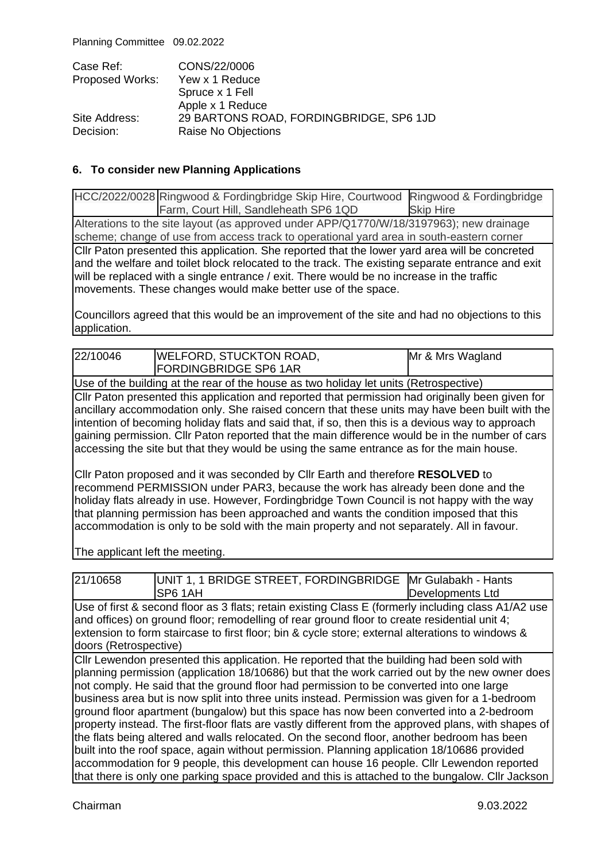Planning Committee 09.02.2022

| CONS/22/0006                            |
|-----------------------------------------|
| Yew x 1 Reduce                          |
| Spruce x 1 Fell                         |
| Apple x 1 Reduce                        |
| 29 BARTONS ROAD, FORDINGBRIDGE, SP6 1JD |
| Raise No Objections                     |
|                                         |

## **6. To consider new Planning Applications**

HCC/2022/0028 Ringwood & Fordingbridge Skip Hire, Courtwood Ringwood & Fordingbridge Farm, Court Hill, Sandleheath SP6 1QD Skip Hire Alterations to the site layout (as approved under APP/Q1770/W/18/3197963); new drainage scheme; change of use from access track to operational yard area in south-eastern corner Cllr Paton presented this application. She reported that the lower yard area will be concreted and the welfare and toilet block relocated to the track. The existing separate entrance and exit will be replaced with a single entrance / exit. There would be no increase in the traffic movements. These changes would make better use of the space.

Councillors agreed that this would be an improvement of the site and had no objections to this application.

| 22/10046 | <b>IWELFORD, STUCKTON ROAD,</b><br><b>FORDINGBRIDGE SP6 1AR</b> | Mr & Mrs Wagland |  |
|----------|-----------------------------------------------------------------|------------------|--|
|          |                                                                 |                  |  |

Use of the building at the rear of the house as two holiday let units (Retrospective) Cllr Paton presented this application and reported that permission had originally been given for ancillary accommodation only. She raised concern that these units may have been built with the intention of becoming holiday flats and said that, if so, then this is a devious way to approach gaining permission. Cllr Paton reported that the main difference would be in the number of cars accessing the site but that they would be using the same entrance as for the main house.

Cllr Paton proposed and it was seconded by Cllr Earth and therefore **RESOLVED** to recommend PERMISSION under PAR3, because the work has already been done and the holiday flats already in use. However, Fordingbridge Town Council is not happy with the way that planning permission has been approached and wants the condition imposed that this accommodation is only to be sold with the main property and not separately. All in favour.

The applicant left the meeting.

| 21/10658                                                                                             | UNIT 1, 1 BRIDGE STREET, FORDINGBRIDGE Mr Gulabakh - Hants                                          |                  |  |  |
|------------------------------------------------------------------------------------------------------|-----------------------------------------------------------------------------------------------------|------------------|--|--|
|                                                                                                      | SP6 1AH                                                                                             | Developments Ltd |  |  |
|                                                                                                      | Use of first & second floor as 3 flats; retain existing Class E (formerly including class A1/A2 use |                  |  |  |
|                                                                                                      | and offices) on ground floor; remodelling of rear ground floor to create residential unit 4;        |                  |  |  |
|                                                                                                      | extension to form staircase to first floor; bin & cycle store; external alterations to windows &    |                  |  |  |
| doors (Retrospective)                                                                                |                                                                                                     |                  |  |  |
|                                                                                                      | CIIr Lewendon presented this application. He reported that the building had been sold with          |                  |  |  |
|                                                                                                      | planning permission (application 18/10686) but that the work carried out by the new owner does      |                  |  |  |
|                                                                                                      | not comply. He said that the ground floor had permission to be converted into one large             |                  |  |  |
|                                                                                                      | business area but is now split into three units instead. Permission was given for a 1-bedroom       |                  |  |  |
| ground floor apartment (bungalow) but this space has now been converted into a 2-bedroom             |                                                                                                     |                  |  |  |
| property instead. The first-floor flats are vastly different from the approved plans, with shapes of |                                                                                                     |                  |  |  |
| the flats being altered and walls relocated. On the second floor, another bedroom has been           |                                                                                                     |                  |  |  |
| built into the roof space, again without permission. Planning application 18/10686 provided          |                                                                                                     |                  |  |  |
| accommodation for 9 people, this development can house 16 people. Cllr Lewendon reported             |                                                                                                     |                  |  |  |
|                                                                                                      | that there is only one parking space provided and this is attached to the bungalow. Cllr Jackson    |                  |  |  |
|                                                                                                      |                                                                                                     |                  |  |  |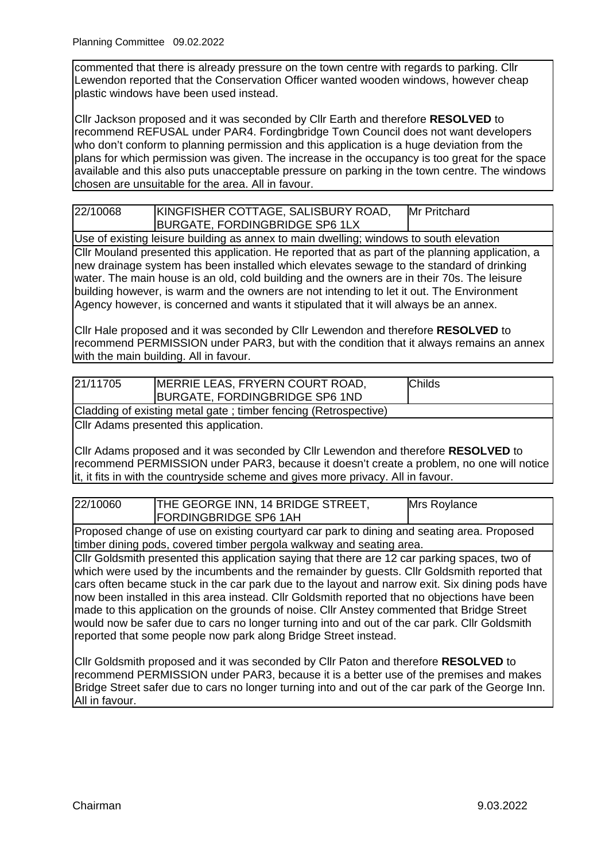commented that there is already pressure on the town centre with regards to parking. Cllr Lewendon reported that the Conservation Officer wanted wooden windows, however cheap plastic windows have been used instead.

Cllr Jackson proposed and it was seconded by Cllr Earth and therefore **RESOLVED** to recommend REFUSAL under PAR4. Fordingbridge Town Council does not want developers who don't conform to planning permission and this application is a huge deviation from the plans for which permission was given. The increase in the occupancy is too great for the space available and this also puts unacceptable pressure on parking in the town centre. The windows chosen are unsuitable for the area. All in favour.

| 22/10068 | KINGFISHER COTTAGE, SALISBURY ROAD,<br><b>IBURGATE, FORDINGBRIDGE SP6 1LX</b> | <b>IMr Pritchard</b> |
|----------|-------------------------------------------------------------------------------|----------------------|
|----------|-------------------------------------------------------------------------------|----------------------|

Use of existing leisure building as annex to main dwelling; windows to south elevation Cllr Mouland presented this application. He reported that as part of the planning application, a new drainage system has been installed which elevates sewage to the standard of drinking water. The main house is an old, cold building and the owners are in their 70s. The leisure building however, is warm and the owners are not intending to let it out. The Environment Agency however, is concerned and wants it stipulated that it will always be an annex.

Cllr Hale proposed and it was seconded by Cllr Lewendon and therefore **RESOLVED** to recommend PERMISSION under PAR3, but with the condition that it always remains an annex with the main building. All in favour.

| 21/11705 | MERRIE LEAS, FRYERN COURT ROAD,<br>BURGATE, FORDINGBRIDGE SP6 1ND | <b>Childs</b> |
|----------|-------------------------------------------------------------------|---------------|
|          | Cladding of existing metal gate; timber fencing (Retrospective)   |               |

Cllr Adams presented this application.

Cllr Adams proposed and it was seconded by Cllr Lewendon and therefore **RESOLVED** to recommend PERMISSION under PAR3, because it doesn't create a problem, no one will notice it, it fits in with the countryside scheme and gives more privacy. All in favour.

| 22/10060 | THE GEORGE INN, 14 BRIDGE STREET, | Mrs Roylance |
|----------|-----------------------------------|--------------|
|          | <b>FORDINGBRIDGE SP6 1AH</b>      |              |

Proposed change of use on existing courtyard car park to dining and seating area. Proposed timber dining pods, covered timber pergola walkway and seating area.

Cllr Goldsmith presented this application saying that there are 12 car parking spaces, two of which were used by the incumbents and the remainder by guests. Cllr Goldsmith reported that cars often became stuck in the car park due to the layout and narrow exit. Six dining pods have now been installed in this area instead. Cllr Goldsmith reported that no objections have been made to this application on the grounds of noise. Cllr Anstey commented that Bridge Street would now be safer due to cars no longer turning into and out of the car park. Cllr Goldsmith reported that some people now park along Bridge Street instead.

Cllr Goldsmith proposed and it was seconded by Cllr Paton and therefore **RESOLVED** to recommend PERMISSION under PAR3, because it is a better use of the premises and makes Bridge Street safer due to cars no longer turning into and out of the car park of the George Inn. All in favour.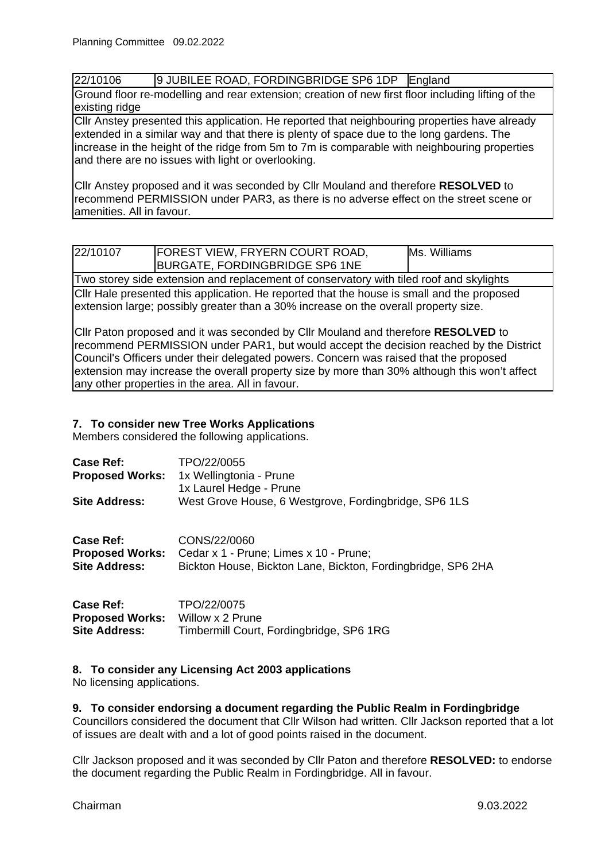### 22/10106 9 JUBILEE ROAD, FORDINGBRIDGE SP6 1DP England

Ground floor re-modelling and rear extension; creation of new first floor including lifting of the existing ridge

Cllr Anstey presented this application. He reported that neighbouring properties have already extended in a similar way and that there is plenty of space due to the long gardens. The increase in the height of the ridge from 5m to 7m is comparable with neighbouring properties and there are no issues with light or overlooking.

Cllr Anstey proposed and it was seconded by Cllr Mouland and therefore **RESOLVED** to recommend PERMISSION under PAR3, as there is no adverse effect on the street scene or amenities. All in favour.

| 22/10107 | <b>FOREST VIEW, FRYERN COURT ROAD,</b><br>BURGATE, FORDINGBRIDGE SP6 1NE | Ms. Williams |
|----------|--------------------------------------------------------------------------|--------------|
|          |                                                                          |              |

Two storey side extension and replacement of conservatory with tiled roof and skylights Cllr Hale presented this application. He reported that the house is small and the proposed extension large; possibly greater than a 30% increase on the overall property size.

Cllr Paton proposed and it was seconded by Cllr Mouland and therefore **RESOLVED** to recommend PERMISSION under PAR1, but would accept the decision reached by the District Council's Officers under their delegated powers. Concern was raised that the proposed extension may increase the overall property size by more than 30% although this won't affect any other properties in the area. All in favour.

## **7. To consider new Tree Works Applications**

Members considered the following applications.

| <b>Case Ref:</b>                    | TPO/22/0055                                                  |
|-------------------------------------|--------------------------------------------------------------|
| <b>Proposed Works:</b>              | 1x Wellingtonia - Prune<br>1x Laurel Hedge - Prune           |
| <b>Site Address:</b>                | West Grove House, 6 Westgrove, Fordingbridge, SP6 1LS        |
| Case Ref:<br><b>Proposed Works:</b> | CONS/22/0060<br>Cedar x 1 - Prune; Limes x 10 - Prune;       |
| <b>Site Address:</b>                | Bickton House, Bickton Lane, Bickton, Fordingbridge, SP6 2HA |
|                                     |                                                              |

| <b>Case Ref:</b>       | TPO/22/0075                              |
|------------------------|------------------------------------------|
| <b>Proposed Works:</b> | Willow x 2 Prune                         |
| <b>Site Address:</b>   | Timbermill Court, Fordingbridge, SP6 1RG |

## **8. To consider any Licensing Act 2003 applications**

No licensing applications.

**9. To consider endorsing a document regarding the Public Realm in Fordingbridge** Councillors considered the document that Cllr Wilson had written. Cllr Jackson reported that a lot of issues are dealt with and a lot of good points raised in the document.

Cllr Jackson proposed and it was seconded by Cllr Paton and therefore **RESOLVED:** to endorse the document regarding the Public Realm in Fordingbridge. All in favour.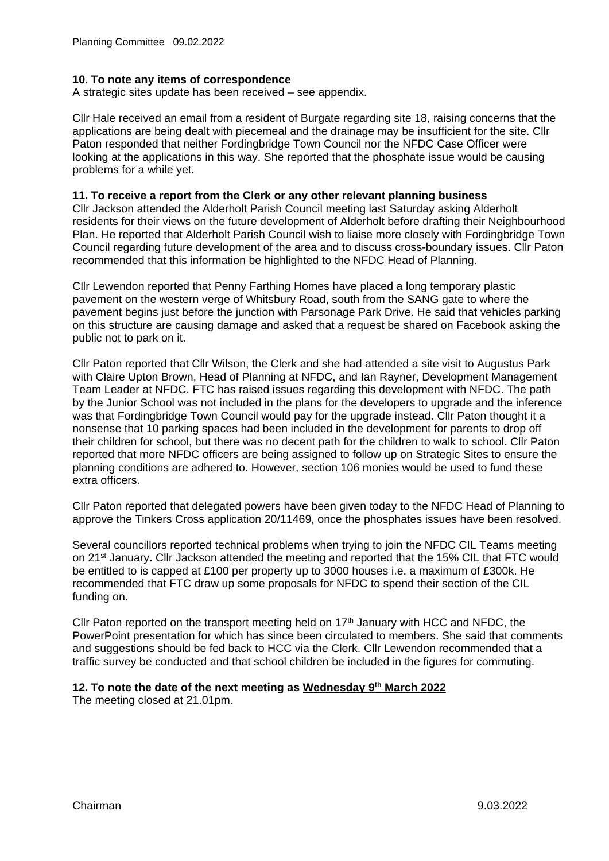### **10. To note any items of correspondence**

A strategic sites update has been received – see appendix.

Cllr Hale received an email from a resident of Burgate regarding site 18, raising concerns that the applications are being dealt with piecemeal and the drainage may be insufficient for the site. Cllr Paton responded that neither Fordingbridge Town Council nor the NFDC Case Officer were looking at the applications in this way. She reported that the phosphate issue would be causing problems for a while yet.

#### **11. To receive a report from the Clerk or any other relevant planning business**

Cllr Jackson attended the Alderholt Parish Council meeting last Saturday asking Alderholt residents for their views on the future development of Alderholt before drafting their Neighbourhood Plan. He reported that Alderholt Parish Council wish to liaise more closely with Fordingbridge Town Council regarding future development of the area and to discuss cross-boundary issues. Cllr Paton recommended that this information be highlighted to the NFDC Head of Planning.

Cllr Lewendon reported that Penny Farthing Homes have placed a long temporary plastic pavement on the western verge of Whitsbury Road, south from the SANG gate to where the pavement begins just before the junction with Parsonage Park Drive. He said that vehicles parking on this structure are causing damage and asked that a request be shared on Facebook asking the public not to park on it.

Cllr Paton reported that Cllr Wilson, the Clerk and she had attended a site visit to Augustus Park with Claire Upton Brown, Head of Planning at NFDC, and Ian Rayner, Development Management Team Leader at NFDC. FTC has raised issues regarding this development with NFDC. The path by the Junior School was not included in the plans for the developers to upgrade and the inference was that Fordingbridge Town Council would pay for the upgrade instead. Cllr Paton thought it a nonsense that 10 parking spaces had been included in the development for parents to drop off their children for school, but there was no decent path for the children to walk to school. Cllr Paton reported that more NFDC officers are being assigned to follow up on Strategic Sites to ensure the planning conditions are adhered to. However, section 106 monies would be used to fund these extra officers.

Cllr Paton reported that delegated powers have been given today to the NFDC Head of Planning to approve the Tinkers Cross application 20/11469, once the phosphates issues have been resolved.

Several councillors reported technical problems when trying to join the NFDC CIL Teams meeting on 21<sup>st</sup> January. Cllr Jackson attended the meeting and reported that the 15% CIL that FTC would be entitled to is capped at £100 per property up to 3000 houses i.e. a maximum of £300k. He recommended that FTC draw up some proposals for NFDC to spend their section of the CIL funding on.

Cllr Paton reported on the transport meeting held on  $17<sup>th</sup>$  January with HCC and NFDC, the PowerPoint presentation for which has since been circulated to members. She said that comments and suggestions should be fed back to HCC via the Clerk. Cllr Lewendon recommended that a traffic survey be conducted and that school children be included in the figures for commuting.

## **12. To note the date of the next meeting as Wednesday 9th March 2022**

The meeting closed at 21.01pm.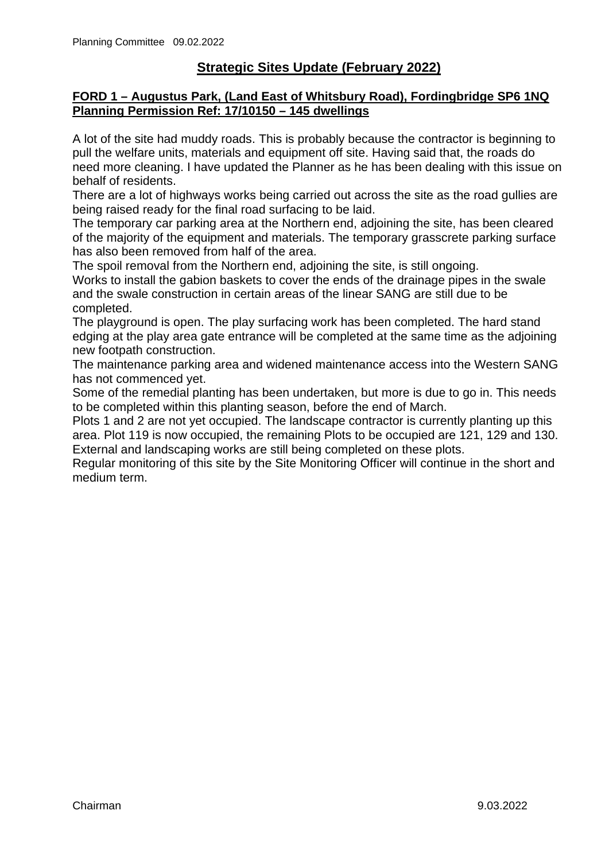# **Strategic Sites Update (February 2022)**

## **FORD 1 – Augustus Park, (Land East of Whitsbury Road), Fordingbridge SP6 1NQ Planning Permission Ref: 17/10150 – 145 dwellings**

A lot of the site had muddy roads. This is probably because the contractor is beginning to pull the welfare units, materials and equipment off site. Having said that, the roads do need more cleaning. I have updated the Planner as he has been dealing with this issue on behalf of residents.

There are a lot of highways works being carried out across the site as the road gullies are being raised ready for the final road surfacing to be laid.

The temporary car parking area at the Northern end, adjoining the site, has been cleared of the majority of the equipment and materials. The temporary grasscrete parking surface has also been removed from half of the area.

The spoil removal from the Northern end, adjoining the site, is still ongoing.

Works to install the gabion baskets to cover the ends of the drainage pipes in the swale and the swale construction in certain areas of the linear SANG are still due to be completed.

The playground is open. The play surfacing work has been completed. The hard stand edging at the play area gate entrance will be completed at the same time as the adjoining new footpath construction.

The maintenance parking area and widened maintenance access into the Western SANG has not commenced yet.

Some of the remedial planting has been undertaken, but more is due to go in. This needs to be completed within this planting season, before the end of March.

Plots 1 and 2 are not yet occupied. The landscape contractor is currently planting up this area. Plot 119 is now occupied, the remaining Plots to be occupied are 121, 129 and 130. External and landscaping works are still being completed on these plots.

Regular monitoring of this site by the Site Monitoring Officer will continue in the short and medium term.